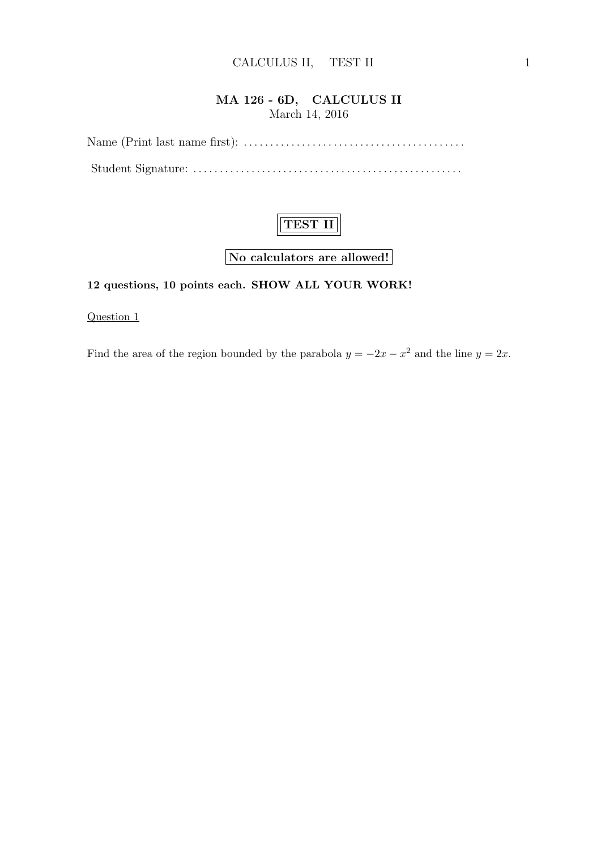#### MA 126 - 6D, CALCULUS II March 14, 2016

Name (Print last name first): . . . . . . . . . . . . . . . . . . . . . . . . . . . . . . . . . . . . . . . . . . Student Signature: . . . . . . . . . . . . . . . . . . . . . . . . . . . . . . . . . . . . . . . . . . . . . . . . . . .



No calculators are allowed!

# 12 questions, 10 points each. SHOW ALL YOUR WORK!

Question 1

Find the area of the region bounded by the parabola  $y = -2x - x^2$  and the line  $y = 2x$ .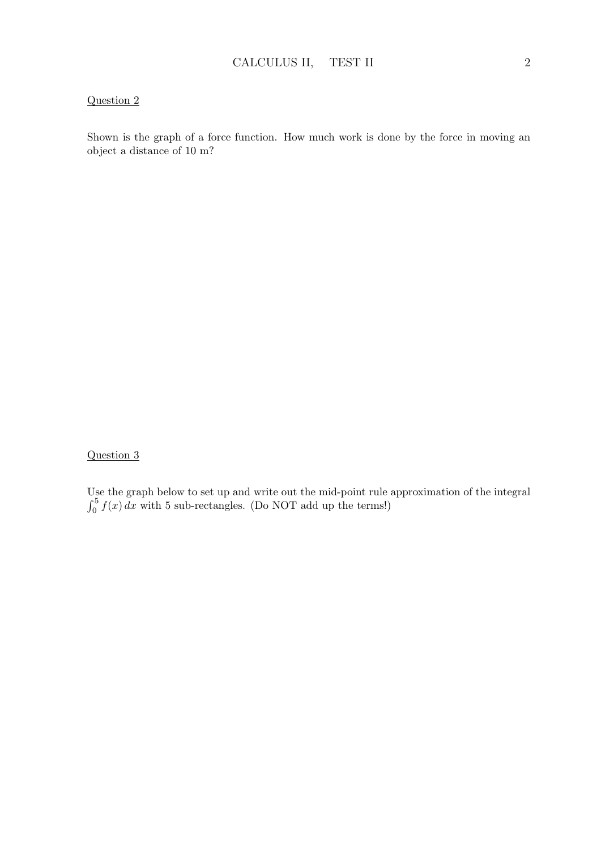Shown is the graph of a force function. How much work is done by the force in moving an object a distance of 10 m?

### Question 3

Use the graph below to set up and write out the mid-point rule approximation of the integral  $\int_0^5 f(x) dx$  with 5 sub-rectangles. (Do NOT add up the terms!)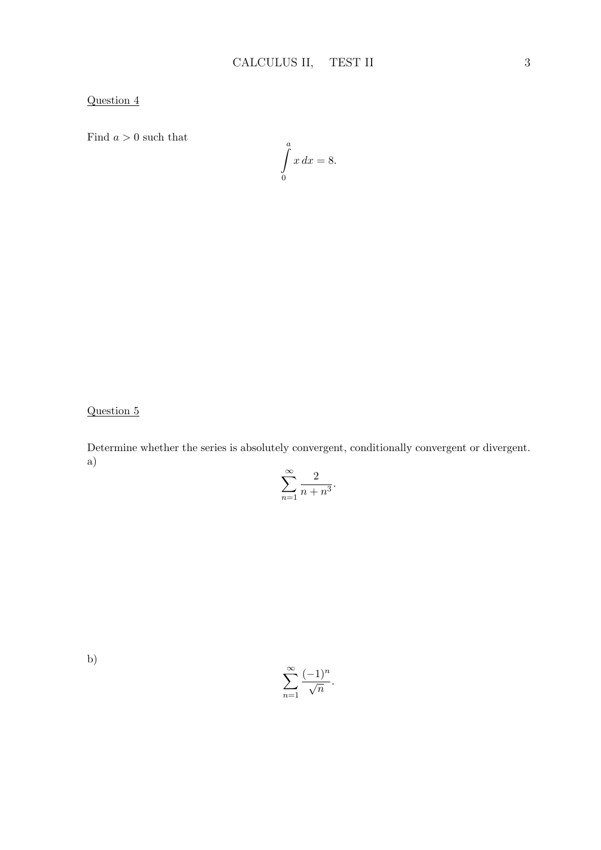Find  $a > 0$  such that

$$
\int\limits_0^a x\,dx = 8.
$$

Question 5

Determine whether the series is absolutely convergent, conditionally convergent or divergent. a)

$$
\sum_{n=1}^{\infty} \frac{2}{n+n^3}.
$$

b)

$$
\sum_{n=1}^{\infty} \frac{(-1)^n}{\sqrt{n}}.
$$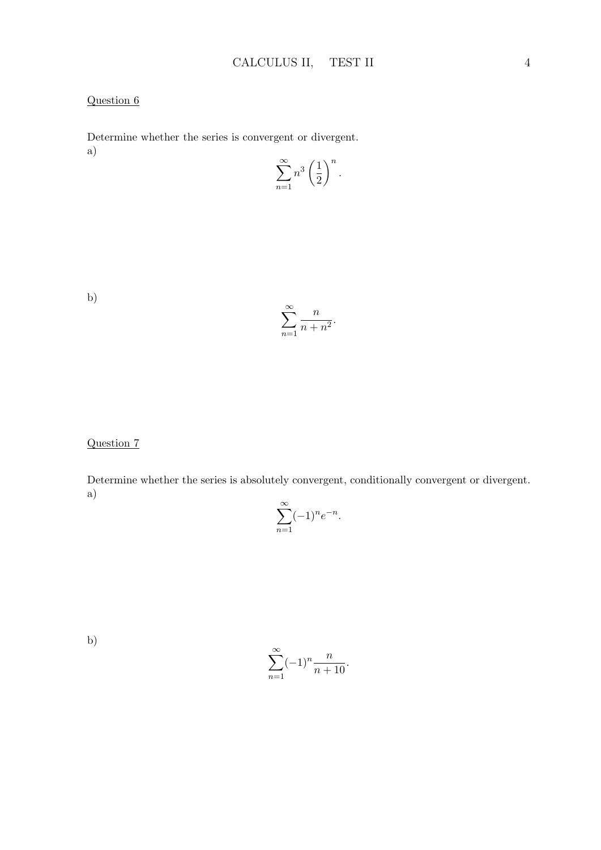Determine whether the series is convergent or divergent. a)

$$
\sum_{n=1}^{\infty} n^3 \left(\frac{1}{2}\right)^n.
$$

b)

$$
\sum_{n=1}^{\infty} \frac{n}{n+n^2}.
$$

Question 7

Determine whether the series is absolutely convergent, conditionally convergent or divergent. a)

$$
\sum_{n=1}^{\infty} (-1)^n e^{-n}.
$$

b)

$$
\sum_{n=1}^{\infty} (-1)^n \frac{n}{n+10}.
$$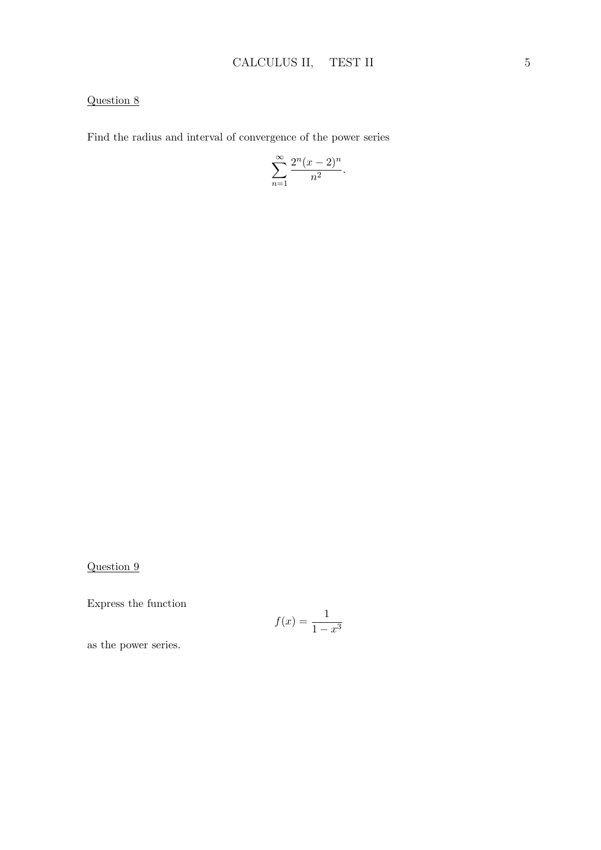Find the radius and interval of convergence of the power series

$$
\sum_{n=1}^{\infty} \frac{2^n (x-2)^n}{n^2}.
$$

Question 9

Express the function

$$
f(x) = \frac{1}{1 - x^3}
$$

as the power series.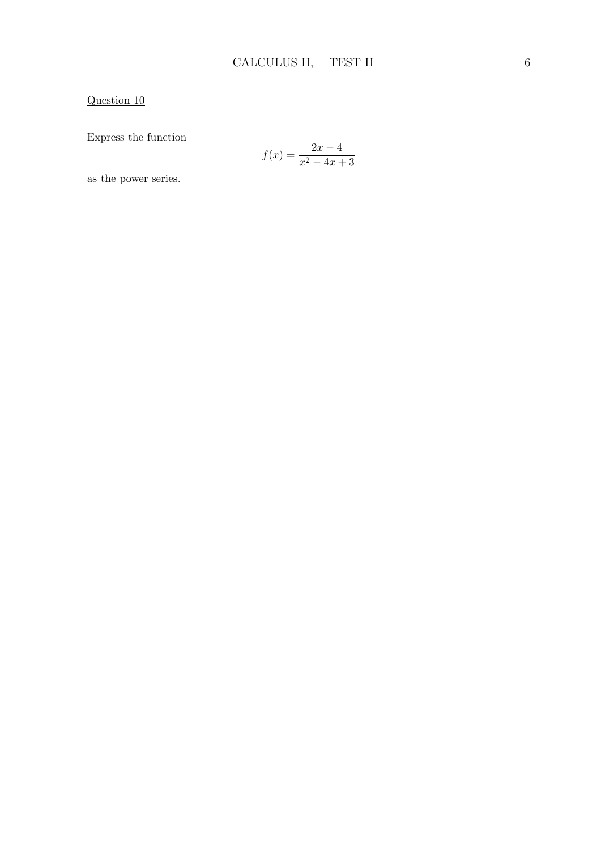Express the function

$$
f(x) = \frac{2x - 4}{x^2 - 4x + 3}
$$

as the power series.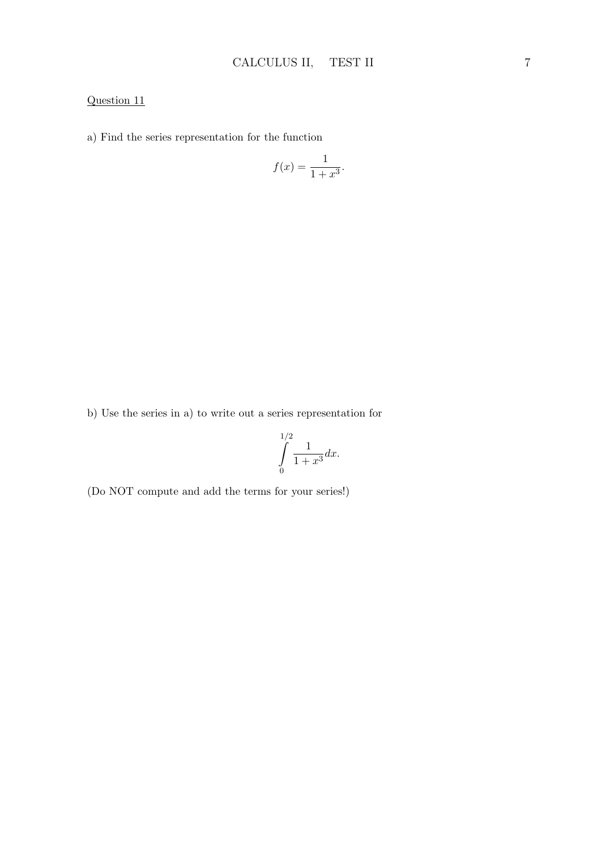a) Find the series representation for the function

$$
f(x) = \frac{1}{1+x^3}.
$$

b) Use the series in a) to write out a series representation for

$$
\int_{0}^{1/2} \frac{1}{1+x^3} dx.
$$

(Do NOT compute and add the terms for your series!)